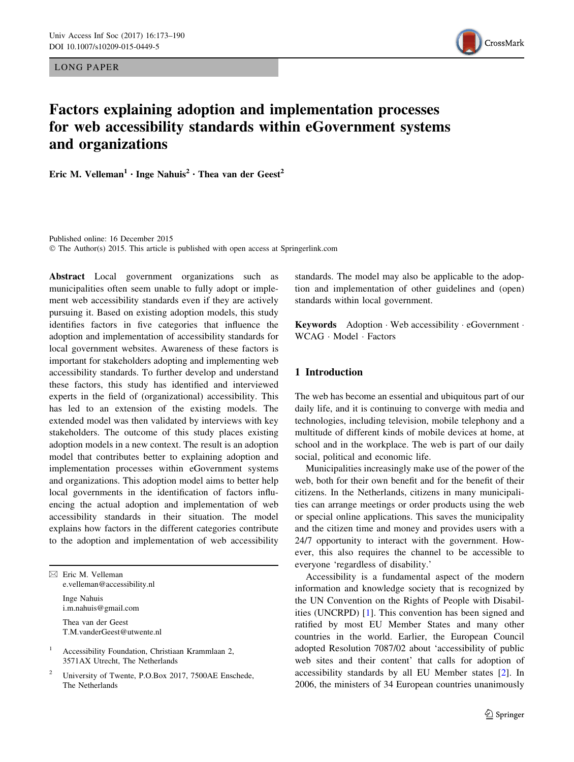LONG PAPER



# Factors explaining adoption and implementation processes for web accessibility standards within eGovernment systems and organizations

Eric M. Velleman<sup>1</sup> · Inge Nahuis<sup>2</sup> · Thea van der Geest<sup>2</sup>

Published online: 16 December 2015 © The Author(s) 2015. This article is published with open access at Springerlink.com

Abstract Local government organizations such as municipalities often seem unable to fully adopt or implement web accessibility standards even if they are actively pursuing it. Based on existing adoption models, this study identifies factors in five categories that influence the adoption and implementation of accessibility standards for local government websites. Awareness of these factors is important for stakeholders adopting and implementing web accessibility standards. To further develop and understand these factors, this study has identified and interviewed experts in the field of (organizational) accessibility. This has led to an extension of the existing models. The extended model was then validated by interviews with key stakeholders. The outcome of this study places existing adoption models in a new context. The result is an adoption model that contributes better to explaining adoption and implementation processes within eGovernment systems and organizations. This adoption model aims to better help local governments in the identification of factors influencing the actual adoption and implementation of web accessibility standards in their situation. The model explains how factors in the different categories contribute to the adoption and implementation of web accessibility

 $\boxtimes$  Eric M. Velleman e.velleman@accessibility.nl

> Inge Nahuis i.m.nahuis@gmail.com

Thea van der Geest T.M.vanderGeest@utwente.nl

Accessibility Foundation, Christiaan Krammlaan 2, 3571AX Utrecht, The Netherlands

<sup>2</sup> University of Twente, P.O.Box 2017, 7500AE Enschede, The Netherlands

standards. The model may also be applicable to the adoption and implementation of other guidelines and (open) standards within local government.

Keywords Adoption · Web accessibility · eGovernment · WCAG - Model - Factors

# 1 Introduction

The web has become an essential and ubiquitous part of our daily life, and it is continuing to converge with media and technologies, including television, mobile telephony and a multitude of different kinds of mobile devices at home, at school and in the workplace. The web is part of our daily social, political and economic life.

Municipalities increasingly make use of the power of the web, both for their own benefit and for the benefit of their citizens. In the Netherlands, citizens in many municipalities can arrange meetings or order products using the web or special online applications. This saves the municipality and the citizen time and money and provides users with a 24/7 opportunity to interact with the government. However, this also requires the channel to be accessible to everyone 'regardless of disability.'

Accessibility is a fundamental aspect of the modern information and knowledge society that is recognized by the UN Convention on the Rights of People with Disabilities (UNCRPD) [[1](#page-16-0)]. This convention has been signed and ratified by most EU Member States and many other countries in the world. Earlier, the European Council adopted Resolution 7087/02 about 'accessibility of public web sites and their content' that calls for adoption of accessibility standards by all EU Member states [\[2](#page-16-0)]. In 2006, the ministers of 34 European countries unanimously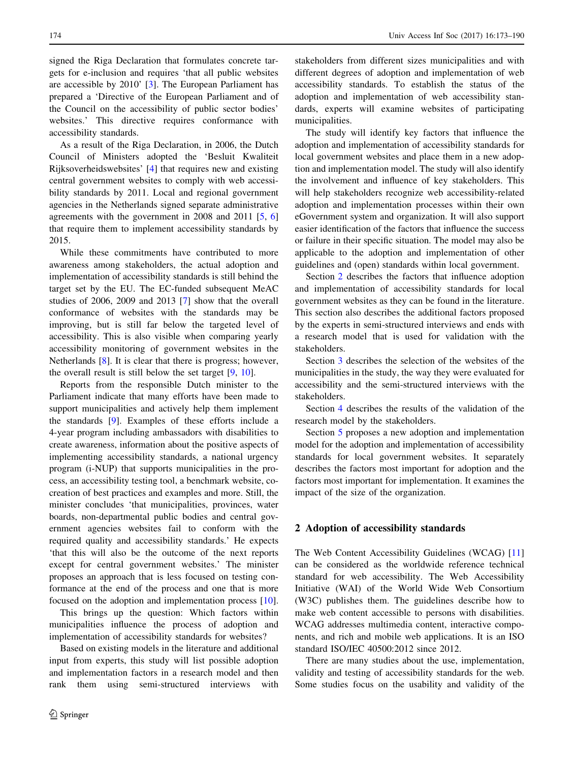signed the Riga Declaration that formulates concrete targets for e-inclusion and requires 'that all public websites are accessible by 2010' [\[3](#page-16-0)]. The European Parliament has prepared a 'Directive of the European Parliament and of the Council on the accessibility of public sector bodies' websites.' This directive requires conformance with accessibility standards.

As a result of the Riga Declaration, in 2006, the Dutch Council of Ministers adopted the 'Besluit Kwaliteit Rijksoverheidswebsites' [\[4](#page-16-0)] that requires new and existing central government websites to comply with web accessibility standards by 2011. Local and regional government agencies in the Netherlands signed separate administrative agreements with the government in 2008 and 2011 [[5,](#page-16-0) [6\]](#page-16-0) that require them to implement accessibility standards by 2015.

While these commitments have contributed to more awareness among stakeholders, the actual adoption and implementation of accessibility standards is still behind the target set by the EU. The EC-funded subsequent MeAC studies of 2006, 2009 and 2013 [[7\]](#page-16-0) show that the overall conformance of websites with the standards may be improving, but is still far below the targeted level of accessibility. This is also visible when comparing yearly accessibility monitoring of government websites in the Netherlands [[8\]](#page-16-0). It is clear that there is progress; however, the overall result is still below the set target [\[9](#page-16-0), [10\]](#page-16-0).

Reports from the responsible Dutch minister to the Parliament indicate that many efforts have been made to support municipalities and actively help them implement the standards [[9\]](#page-16-0). Examples of these efforts include a 4-year program including ambassadors with disabilities to create awareness, information about the positive aspects of implementing accessibility standards, a national urgency program (i-NUP) that supports municipalities in the process, an accessibility testing tool, a benchmark website, cocreation of best practices and examples and more. Still, the minister concludes 'that municipalities, provinces, water boards, non-departmental public bodies and central government agencies websites fail to conform with the required quality and accessibility standards.' He expects 'that this will also be the outcome of the next reports except for central government websites.' The minister proposes an approach that is less focused on testing conformance at the end of the process and one that is more focused on the adoption and implementation process [\[10](#page-16-0)].

This brings up the question: Which factors within municipalities influence the process of adoption and implementation of accessibility standards for websites?

Based on existing models in the literature and additional input from experts, this study will list possible adoption and implementation factors in a research model and then rank them using semi-structured interviews with stakeholders from different sizes municipalities and with different degrees of adoption and implementation of web accessibility standards. To establish the status of the adoption and implementation of web accessibility standards, experts will examine websites of participating municipalities.

The study will identify key factors that influence the adoption and implementation of accessibility standards for local government websites and place them in a new adoption and implementation model. The study will also identify the involvement and influence of key stakeholders. This will help stakeholders recognize web accessibility-related adoption and implementation processes within their own eGovernment system and organization. It will also support easier identification of the factors that influence the success or failure in their specific situation. The model may also be applicable to the adoption and implementation of other guidelines and (open) standards within local government.

Section 2 describes the factors that influence adoption and implementation of accessibility standards for local government websites as they can be found in the literature. This section also describes the additional factors proposed by the experts in semi-structured interviews and ends with a research model that is used for validation with the stakeholders.

Section [3](#page-5-0) describes the selection of the websites of the municipalities in the study, the way they were evaluated for accessibility and the semi-structured interviews with the stakeholders.

Section [4](#page-7-0) describes the results of the validation of the research model by the stakeholders.

Section [5](#page-13-0) proposes a new adoption and implementation model for the adoption and implementation of accessibility standards for local government websites. It separately describes the factors most important for adoption and the factors most important for implementation. It examines the impact of the size of the organization.

# 2 Adoption of accessibility standards

The Web Content Accessibility Guidelines (WCAG) [[11\]](#page-16-0) can be considered as the worldwide reference technical standard for web accessibility. The Web Accessibility Initiative (WAI) of the World Wide Web Consortium (W3C) publishes them. The guidelines describe how to make web content accessible to persons with disabilities. WCAG addresses multimedia content, interactive components, and rich and mobile web applications. It is an ISO standard ISO/IEC 40500:2012 since 2012.

There are many studies about the use, implementation, validity and testing of accessibility standards for the web. Some studies focus on the usability and validity of the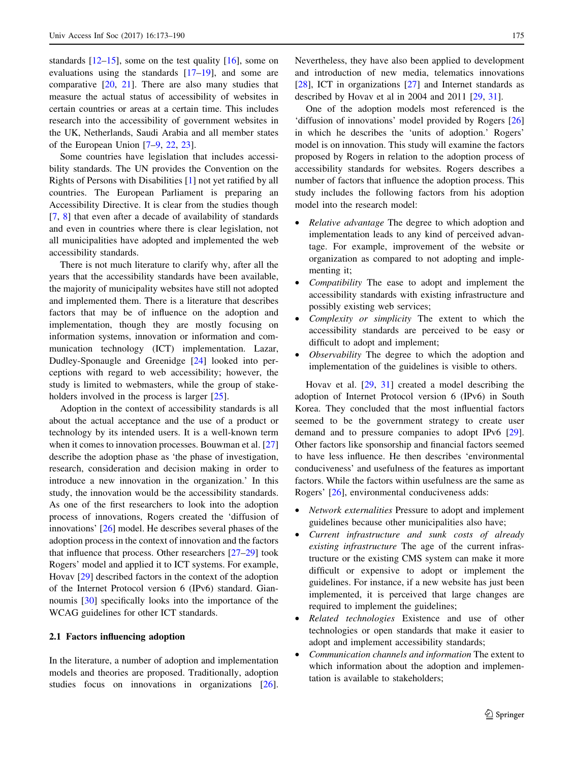standards  $[12–15]$  $[12–15]$  $[12–15]$ , some on the test quality  $[16]$  $[16]$ , some on evaluations using the standards [[17–19\]](#page-16-0), and some are comparative [[20,](#page-16-0) [21](#page-16-0)]. There are also many studies that measure the actual status of accessibility of websites in certain countries or areas at a certain time. This includes research into the accessibility of government websites in the UK, Netherlands, Saudi Arabia and all member states of the European Union [[7–9,](#page-16-0) [22](#page-16-0), [23](#page-16-0)].

Some countries have legislation that includes accessibility standards. The UN provides the Convention on the Rights of Persons with Disabilities [\[1](#page-16-0)] not yet ratified by all countries. The European Parliament is preparing an Accessibility Directive. It is clear from the studies though [\[7](#page-16-0), [8](#page-16-0)] that even after a decade of availability of standards and even in countries where there is clear legislation, not all municipalities have adopted and implemented the web accessibility standards.

There is not much literature to clarify why, after all the years that the accessibility standards have been available, the majority of municipality websites have still not adopted and implemented them. There is a literature that describes factors that may be of influence on the adoption and implementation, though they are mostly focusing on information systems, innovation or information and communication technology (ICT) implementation. Lazar, Dudley-Sponaugle and Greenidge [\[24](#page-16-0)] looked into perceptions with regard to web accessibility; however, the study is limited to webmasters, while the group of stake-holders involved in the process is larger [\[25](#page-16-0)].

Adoption in the context of accessibility standards is all about the actual acceptance and the use of a product or technology by its intended users. It is a well-known term when it comes to innovation processes. Bouwman et al. [[27\]](#page-16-0) describe the adoption phase as 'the phase of investigation, research, consideration and decision making in order to introduce a new innovation in the organization.' In this study, the innovation would be the accessibility standards. As one of the first researchers to look into the adoption process of innovations, Rogers created the 'diffusion of innovations' [[26\]](#page-16-0) model. He describes several phases of the adoption process in the context of innovation and the factors that influence that process. Other researchers [[27–29\]](#page-16-0) took Rogers' model and applied it to ICT systems. For example, Hovav [[29\]](#page-16-0) described factors in the context of the adoption of the Internet Protocol version 6 (IPv6) standard. Giannoumis [[30\]](#page-16-0) specifically looks into the importance of the WCAG guidelines for other ICT standards.

# 2.1 Factors influencing adoption

In the literature, a number of adoption and implementation models and theories are proposed. Traditionally, adoption studies focus on innovations in organizations [\[26](#page-16-0)].

Nevertheless, they have also been applied to development and introduction of new media, telematics innovations [\[28](#page-16-0)], ICT in organizations [[27\]](#page-16-0) and Internet standards as described by Hovav et al in 2004 and 2011 [\[29](#page-16-0), [31\]](#page-16-0).

One of the adoption models most referenced is the 'diffusion of innovations' model provided by Rogers [[26\]](#page-16-0) in which he describes the 'units of adoption.' Rogers' model is on innovation. This study will examine the factors proposed by Rogers in relation to the adoption process of accessibility standards for websites. Rogers describes a number of factors that influence the adoption process. This study includes the following factors from his adoption model into the research model:

- Relative advantage The degree to which adoption and implementation leads to any kind of perceived advantage. For example, improvement of the website or organization as compared to not adopting and implementing it;
- Compatibility The ease to adopt and implement the accessibility standards with existing infrastructure and possibly existing web services;
- Complexity or simplicity The extent to which the accessibility standards are perceived to be easy or difficult to adopt and implement;
- Observability The degree to which the adoption and implementation of the guidelines is visible to others.

Hovav et al. [\[29](#page-16-0), [31](#page-16-0)] created a model describing the adoption of Internet Protocol version 6 (IPv6) in South Korea. They concluded that the most influential factors seemed to be the government strategy to create user demand and to pressure companies to adopt IPv6 [\[29](#page-16-0)]. Other factors like sponsorship and financial factors seemed to have less influence. He then describes 'environmental conduciveness' and usefulness of the features as important factors. While the factors within usefulness are the same as Rogers' [\[26](#page-16-0)], environmental conduciveness adds:

- Network externalities Pressure to adopt and implement guidelines because other municipalities also have;
- Current infrastructure and sunk costs of already existing infrastructure The age of the current infrastructure or the existing CMS system can make it more difficult or expensive to adopt or implement the guidelines. For instance, if a new website has just been implemented, it is perceived that large changes are required to implement the guidelines;
- Related technologies Existence and use of other technologies or open standards that make it easier to adopt and implement accessibility standards;
- Communication channels and information The extent to which information about the adoption and implementation is available to stakeholders;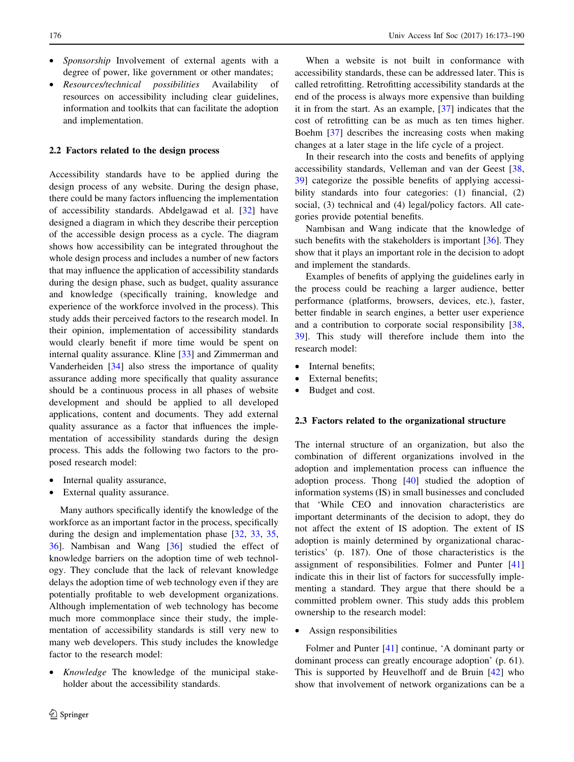- *Sponsorship* Involvement of external agents with a degree of power, like government or other mandates;
- Resources/technical possibilities Availability of resources on accessibility including clear guidelines, information and toolkits that can facilitate the adoption and implementation.

# 2.2 Factors related to the design process

Accessibility standards have to be applied during the design process of any website. During the design phase, there could be many factors influencing the implementation of accessibility standards. Abdelgawad et al. [[32\]](#page-16-0) have designed a diagram in which they describe their perception of the accessible design process as a cycle. The diagram shows how accessibility can be integrated throughout the whole design process and includes a number of new factors that may influence the application of accessibility standards during the design phase, such as budget, quality assurance and knowledge (specifically training, knowledge and experience of the workforce involved in the process). This study adds their perceived factors to the research model. In their opinion, implementation of accessibility standards would clearly benefit if more time would be spent on internal quality assurance. Kline [\[33](#page-16-0)] and Zimmerman and Vanderheiden [\[34](#page-16-0)] also stress the importance of quality assurance adding more specifically that quality assurance should be a continuous process in all phases of website development and should be applied to all developed applications, content and documents. They add external quality assurance as a factor that influences the implementation of accessibility standards during the design process. This adds the following two factors to the proposed research model:

- Internal quality assurance,
- External quality assurance.

Many authors specifically identify the knowledge of the workforce as an important factor in the process, specifically during the design and implementation phase [[32,](#page-16-0) [33](#page-16-0), [35,](#page-16-0) [36](#page-17-0)]. Nambisan and Wang [\[36](#page-17-0)] studied the effect of knowledge barriers on the adoption time of web technology. They conclude that the lack of relevant knowledge delays the adoption time of web technology even if they are potentially profitable to web development organizations. Although implementation of web technology has become much more commonplace since their study, the implementation of accessibility standards is still very new to many web developers. This study includes the knowledge factor to the research model:

Knowledge The knowledge of the municipal stakeholder about the accessibility standards.

When a website is not built in conformance with accessibility standards, these can be addressed later. This is called retrofitting. Retrofitting accessibility standards at the end of the process is always more expensive than building it in from the start. As an example, [[37\]](#page-17-0) indicates that the cost of retrofitting can be as much as ten times higher. Boehm [[37\]](#page-17-0) describes the increasing costs when making changes at a later stage in the life cycle of a project.

In their research into the costs and benefits of applying accessibility standards, Velleman and van der Geest [[38,](#page-17-0) [39](#page-17-0)] categorize the possible benefits of applying accessibility standards into four categories: (1) financial, (2) social, (3) technical and (4) legal/policy factors. All categories provide potential benefits.

Nambisan and Wang indicate that the knowledge of such benefits with the stakeholders is important  $[36]$  $[36]$ . They show that it plays an important role in the decision to adopt and implement the standards.

Examples of benefits of applying the guidelines early in the process could be reaching a larger audience, better performance (platforms, browsers, devices, etc.), faster, better findable in search engines, a better user experience and a contribution to corporate social responsibility [[38,](#page-17-0) [39](#page-17-0)]. This study will therefore include them into the research model:

- Internal benefits:
- External benefits;
- Budget and cost.

### 2.3 Factors related to the organizational structure

The internal structure of an organization, but also the combination of different organizations involved in the adoption and implementation process can influence the adoption process. Thong [[40\]](#page-17-0) studied the adoption of information systems (IS) in small businesses and concluded that 'While CEO and innovation characteristics are important determinants of the decision to adopt, they do not affect the extent of IS adoption. The extent of IS adoption is mainly determined by organizational characteristics' (p. 187). One of those characteristics is the assignment of responsibilities. Folmer and Punter [[41\]](#page-17-0) indicate this in their list of factors for successfully implementing a standard. They argue that there should be a committed problem owner. This study adds this problem ownership to the research model:

• Assign responsibilities

Folmer and Punter [\[41](#page-17-0)] continue, 'A dominant party or dominant process can greatly encourage adoption' (p. 61). This is supported by Heuvelhoff and de Bruin [[42\]](#page-17-0) who show that involvement of network organizations can be a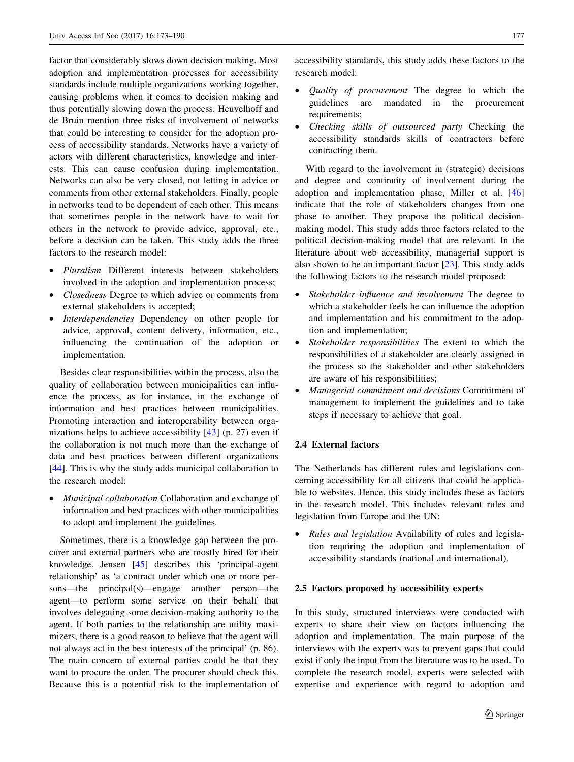factor that considerably slows down decision making. Most adoption and implementation processes for accessibility standards include multiple organizations working together, causing problems when it comes to decision making and thus potentially slowing down the process. Heuvelhoff and de Bruin mention three risks of involvement of networks that could be interesting to consider for the adoption process of accessibility standards. Networks have a variety of actors with different characteristics, knowledge and interests. This can cause confusion during implementation. Networks can also be very closed, not letting in advice or comments from other external stakeholders. Finally, people in networks tend to be dependent of each other. This means that sometimes people in the network have to wait for others in the network to provide advice, approval, etc., before a decision can be taken. This study adds the three factors to the research model:

- Pluralism Different interests between stakeholders involved in the adoption and implementation process;
- Closedness Degree to which advice or comments from external stakeholders is accepted;
- Interdependencies Dependency on other people for advice, approval, content delivery, information, etc., influencing the continuation of the adoption or implementation.

Besides clear responsibilities within the process, also the quality of collaboration between municipalities can influence the process, as for instance, in the exchange of information and best practices between municipalities. Promoting interaction and interoperability between organizations helps to achieve accessibility  $[43]$  $[43]$  (p. 27) even if the collaboration is not much more than the exchange of data and best practices between different organizations [\[44](#page-17-0)]. This is why the study adds municipal collaboration to the research model:

Municipal collaboration Collaboration and exchange of information and best practices with other municipalities to adopt and implement the guidelines.

Sometimes, there is a knowledge gap between the procurer and external partners who are mostly hired for their knowledge. Jensen [\[45](#page-17-0)] describes this 'principal-agent relationship' as 'a contract under which one or more persons—the principal(s)—engage another person—the agent—to perform some service on their behalf that involves delegating some decision-making authority to the agent. If both parties to the relationship are utility maximizers, there is a good reason to believe that the agent will not always act in the best interests of the principal' (p. 86). The main concern of external parties could be that they want to procure the order. The procurer should check this. Because this is a potential risk to the implementation of

accessibility standards, this study adds these factors to the research model:

- Quality of procurement The degree to which the guidelines are mandated in the procurement requirements;
- Checking skills of outsourced party Checking the accessibility standards skills of contractors before contracting them.

With regard to the involvement in (strategic) decisions and degree and continuity of involvement during the adoption and implementation phase, Miller et al. [[46\]](#page-17-0) indicate that the role of stakeholders changes from one phase to another. They propose the political decisionmaking model. This study adds three factors related to the political decision-making model that are relevant. In the literature about web accessibility, managerial support is also shown to be an important factor [[23\]](#page-16-0). This study adds the following factors to the research model proposed:

- Stakeholder influence and involvement The degree to which a stakeholder feels he can influence the adoption and implementation and his commitment to the adoption and implementation;
- Stakeholder responsibilities The extent to which the responsibilities of a stakeholder are clearly assigned in the process so the stakeholder and other stakeholders are aware of his responsibilities;
- Managerial commitment and decisions Commitment of management to implement the guidelines and to take steps if necessary to achieve that goal.

# 2.4 External factors

The Netherlands has different rules and legislations concerning accessibility for all citizens that could be applicable to websites. Hence, this study includes these as factors in the research model. This includes relevant rules and legislation from Europe and the UN:

• Rules and legislation Availability of rules and legislation requiring the adoption and implementation of accessibility standards (national and international).

#### 2.5 Factors proposed by accessibility experts

In this study, structured interviews were conducted with experts to share their view on factors influencing the adoption and implementation. The main purpose of the interviews with the experts was to prevent gaps that could exist if only the input from the literature was to be used. To complete the research model, experts were selected with expertise and experience with regard to adoption and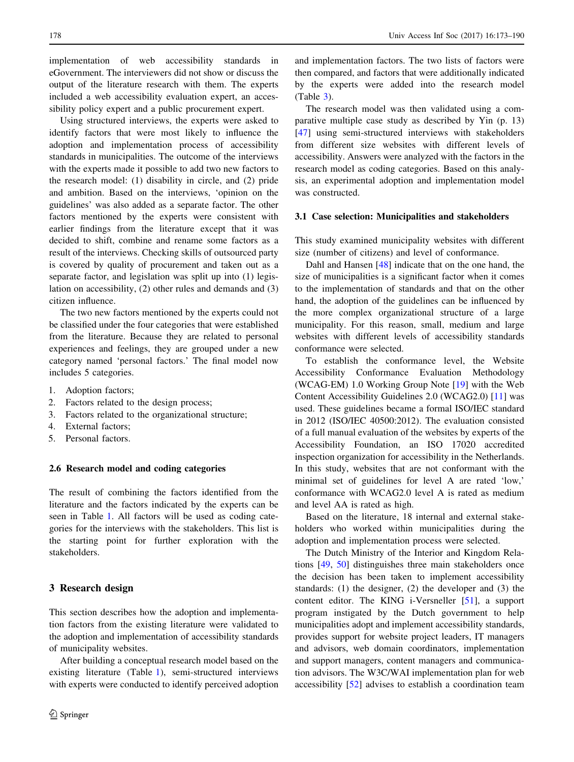<span id="page-5-0"></span>implementation of web accessibility standards in eGovernment. The interviewers did not show or discuss the output of the literature research with them. The experts included a web accessibility evaluation expert, an accessibility policy expert and a public procurement expert.

Using structured interviews, the experts were asked to identify factors that were most likely to influence the adoption and implementation process of accessibility standards in municipalities. The outcome of the interviews with the experts made it possible to add two new factors to the research model: (1) disability in circle, and (2) pride and ambition. Based on the interviews, 'opinion on the guidelines' was also added as a separate factor. The other factors mentioned by the experts were consistent with earlier findings from the literature except that it was decided to shift, combine and rename some factors as a result of the interviews. Checking skills of outsourced party is covered by quality of procurement and taken out as a separate factor, and legislation was split up into (1) legislation on accessibility, (2) other rules and demands and (3) citizen influence.

The two new factors mentioned by the experts could not be classified under the four categories that were established from the literature. Because they are related to personal experiences and feelings, they are grouped under a new category named 'personal factors.' The final model now includes 5 categories.

- 1. Adoption factors;
- 2. Factors related to the design process;
- 3. Factors related to the organizational structure;
- 4. External factors;
- 5. Personal factors.

### 2.6 Research model and coding categories

The result of combining the factors identified from the literature and the factors indicated by the experts can be seen in Table [1.](#page-6-0) All factors will be used as coding categories for the interviews with the stakeholders. This list is the starting point for further exploration with the stakeholders.

# 3 Research design

This section describes how the adoption and implementation factors from the existing literature were validated to the adoption and implementation of accessibility standards of municipality websites.

After building a conceptual research model based on the existing literature (Table [1](#page-6-0)), semi-structured interviews with experts were conducted to identify perceived adoption

and implementation factors. The two lists of factors were then compared, and factors that were additionally indicated by the experts were added into the research model (Table [3\)](#page-7-0).

The research model was then validated using a comparative multiple case study as described by Yin (p. 13) [\[47](#page-17-0)] using semi-structured interviews with stakeholders from different size websites with different levels of accessibility. Answers were analyzed with the factors in the research model as coding categories. Based on this analysis, an experimental adoption and implementation model was constructed.

### 3.1 Case selection: Municipalities and stakeholders

This study examined municipality websites with different size (number of citizens) and level of conformance.

Dahl and Hansen [\[48](#page-17-0)] indicate that on the one hand, the size of municipalities is a significant factor when it comes to the implementation of standards and that on the other hand, the adoption of the guidelines can be influenced by the more complex organizational structure of a large municipality. For this reason, small, medium and large websites with different levels of accessibility standards conformance were selected.

To establish the conformance level, the Website Accessibility Conformance Evaluation Methodology (WCAG-EM) 1.0 Working Group Note [[19\]](#page-16-0) with the Web Content Accessibility Guidelines 2.0 (WCAG2.0) [[11\]](#page-16-0) was used. These guidelines became a formal ISO/IEC standard in 2012 (ISO/IEC 40500:2012). The evaluation consisted of a full manual evaluation of the websites by experts of the Accessibility Foundation, an ISO 17020 accredited inspection organization for accessibility in the Netherlands. In this study, websites that are not conformant with the minimal set of guidelines for level A are rated 'low,' conformance with WCAG2.0 level A is rated as medium and level AA is rated as high.

Based on the literature, 18 internal and external stakeholders who worked within municipalities during the adoption and implementation process were selected.

The Dutch Ministry of the Interior and Kingdom Relations [[49,](#page-17-0) [50](#page-17-0)] distinguishes three main stakeholders once the decision has been taken to implement accessibility standards: (1) the designer, (2) the developer and (3) the content editor. The KING i-Versneller [\[51](#page-17-0)], a support program instigated by the Dutch government to help municipalities adopt and implement accessibility standards, provides support for website project leaders, IT managers and advisors, web domain coordinators, implementation and support managers, content managers and communication advisors. The W3C/WAI implementation plan for web accessibility [[52\]](#page-17-0) advises to establish a coordination team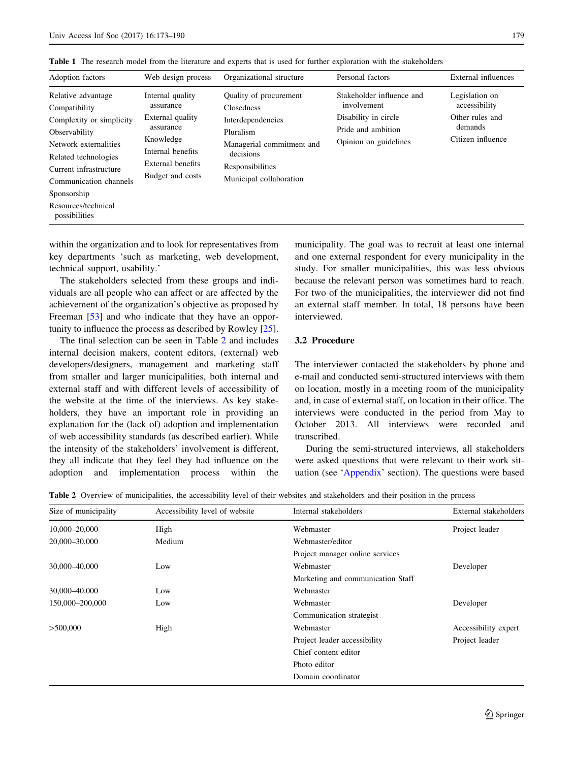<span id="page-6-0"></span>Table 1 The research model from the literature and experts that is used for further exploration with the stakeholders

| Adoption factors                                                                                                                                                                                     | Web design process                                                                                                                        | Organizational structure                                                                                                                                        | Personal factors                                                                                                | External influences                                                                |
|------------------------------------------------------------------------------------------------------------------------------------------------------------------------------------------------------|-------------------------------------------------------------------------------------------------------------------------------------------|-----------------------------------------------------------------------------------------------------------------------------------------------------------------|-----------------------------------------------------------------------------------------------------------------|------------------------------------------------------------------------------------|
| Relative advantage<br>Compatibility<br>Complexity or simplicity<br>Observability<br>Network externalities<br>Related technologies<br>Current infrastructure<br>Communication channels<br>Sponsorship | Internal quality<br>assurance<br>External quality<br>assurance<br>Knowledge<br>Internal benefits<br>External benefits<br>Budget and costs | Quality of procurement<br>Closedness<br>Interdependencies<br>Pluralism<br>Managerial commitment and<br>decisions<br>Responsibilities<br>Municipal collaboration | Stakeholder influence and<br>involvement<br>Disability in circle<br>Pride and ambition<br>Opinion on guidelines | Legislation on<br>accessibility<br>Other rules and<br>demands<br>Citizen influence |
| Resources/technical<br>possibilities                                                                                                                                                                 |                                                                                                                                           |                                                                                                                                                                 |                                                                                                                 |                                                                                    |

within the organization and to look for representatives from key departments 'such as marketing, web development, technical support, usability.'

The stakeholders selected from these groups and individuals are all people who can affect or are affected by the achievement of the organization's objective as proposed by Freeman [\[53](#page-17-0)] and who indicate that they have an opportunity to influence the process as described by Rowley [\[25](#page-16-0)].

The final selection can be seen in Table 2 and includes internal decision makers, content editors, (external) web developers/designers, management and marketing staff from smaller and larger municipalities, both internal and external staff and with different levels of accessibility of the website at the time of the interviews. As key stakeholders, they have an important role in providing an explanation for the (lack of) adoption and implementation of web accessibility standards (as described earlier). While the intensity of the stakeholders' involvement is different, they all indicate that they feel they had influence on the adoption and implementation process within the municipality. The goal was to recruit at least one internal and one external respondent for every municipality in the study. For smaller municipalities, this was less obvious because the relevant person was sometimes hard to reach. For two of the municipalities, the interviewer did not find an external staff member. In total, 18 persons have been interviewed.

# 3.2 Procedure

The interviewer contacted the stakeholders by phone and e-mail and conducted semi-structured interviews with them on location, mostly in a meeting room of the municipality and, in case of external staff, on location in their office. The interviews were conducted in the period from May to October 2013. All interviews were recorded and transcribed.

During the semi-structured interviews, all stakeholders were asked questions that were relevant to their work situation (see '[Appendix](#page-15-0)' section). The questions were based

Table 2 Overview of municipalities, the accessibility level of their websites and stakeholders and their position in the process

| Accessibility level of website | Internal stakeholders             | External stakeholders |
|--------------------------------|-----------------------------------|-----------------------|
| High                           | Webmaster                         | Project leader        |
| Medium                         | Webmaster/editor                  |                       |
|                                | Project manager online services   |                       |
| Low                            | Webmaster                         | Developer             |
|                                | Marketing and communication Staff |                       |
| Low                            | Webmaster                         |                       |
| Low                            | Webmaster                         | Developer             |
|                                | Communication strategist          |                       |
| High                           | Webmaster                         | Accessibility expert  |
|                                | Project leader accessibility      | Project leader        |
|                                | Chief content editor              |                       |
|                                | Photo editor                      |                       |
|                                | Domain coordinator                |                       |
|                                |                                   |                       |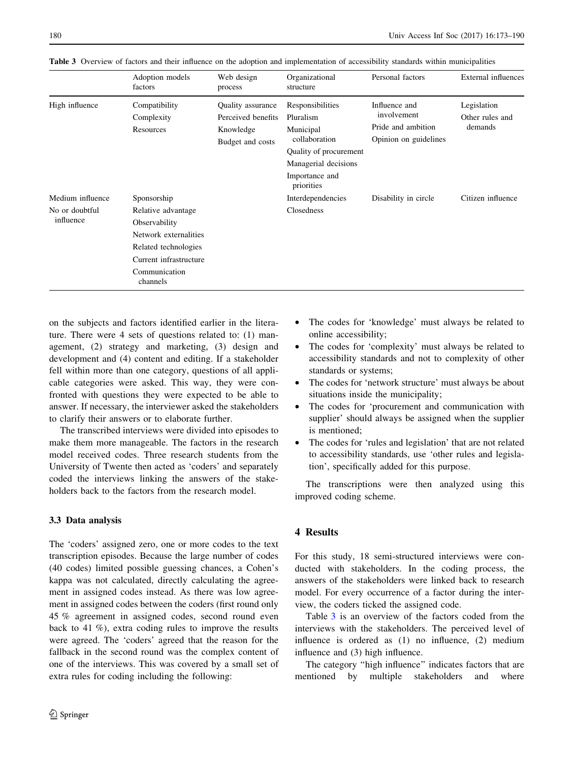|                             | Adoption models<br>factors                                                                                                                  | Web design<br>process                                                    | Organizational<br>structure                                                                                                                   | Personal factors                                                            | External influences                       |
|-----------------------------|---------------------------------------------------------------------------------------------------------------------------------------------|--------------------------------------------------------------------------|-----------------------------------------------------------------------------------------------------------------------------------------------|-----------------------------------------------------------------------------|-------------------------------------------|
| High influence              | Compatibility<br>Complexity<br>Resources                                                                                                    | Quality assurance<br>Perceived benefits<br>Knowledge<br>Budget and costs | Responsibilities<br>Pluralism<br>Municipal<br>collaboration<br>Quality of procurement<br>Managerial decisions<br>Importance and<br>priorities | Influence and<br>involvement<br>Pride and ambition<br>Opinion on guidelines | Legislation<br>Other rules and<br>demands |
| Medium influence            | Sponsorship                                                                                                                                 |                                                                          | Interdependencies                                                                                                                             | Disability in circle                                                        | Citizen influence                         |
| No or doubtful<br>influence | Relative advantage<br>Observability<br>Network externalities<br>Related technologies<br>Current infrastructure<br>Communication<br>channels |                                                                          | Closedness                                                                                                                                    |                                                                             |                                           |

<span id="page-7-0"></span>Table 3 Overview of factors and their influence on the adoption and implementation of accessibility standards within municipalities

on the subjects and factors identified earlier in the literature. There were 4 sets of questions related to: (1) management, (2) strategy and marketing, (3) design and development and (4) content and editing. If a stakeholder fell within more than one category, questions of all applicable categories were asked. This way, they were confronted with questions they were expected to be able to answer. If necessary, the interviewer asked the stakeholders to clarify their answers or to elaborate further.

The transcribed interviews were divided into episodes to make them more manageable. The factors in the research model received codes. Three research students from the University of Twente then acted as 'coders' and separately coded the interviews linking the answers of the stakeholders back to the factors from the research model.

# 3.3 Data analysis

The 'coders' assigned zero, one or more codes to the text transcription episodes. Because the large number of codes (40 codes) limited possible guessing chances, a Cohen's kappa was not calculated, directly calculating the agreement in assigned codes instead. As there was low agreement in assigned codes between the coders (first round only 45 % agreement in assigned codes, second round even back to 41 %), extra coding rules to improve the results were agreed. The 'coders' agreed that the reason for the fallback in the second round was the complex content of one of the interviews. This was covered by a small set of extra rules for coding including the following:

- The codes for 'knowledge' must always be related to online accessibility;
- The codes for 'complexity' must always be related to accessibility standards and not to complexity of other standards or systems;
- The codes for 'network structure' must always be about situations inside the municipality;
- The codes for 'procurement and communication with supplier' should always be assigned when the supplier is mentioned;
- The codes for 'rules and legislation' that are not related to accessibility standards, use 'other rules and legislation', specifically added for this purpose.

The transcriptions were then analyzed using this improved coding scheme.

# 4 Results

For this study, 18 semi-structured interviews were conducted with stakeholders. In the coding process, the answers of the stakeholders were linked back to research model. For every occurrence of a factor during the interview, the coders ticked the assigned code.

Table 3 is an overview of the factors coded from the interviews with the stakeholders. The perceived level of influence is ordered as (1) no influence, (2) medium influence and (3) high influence.

The category ''high influence'' indicates factors that are mentioned by multiple stakeholders and where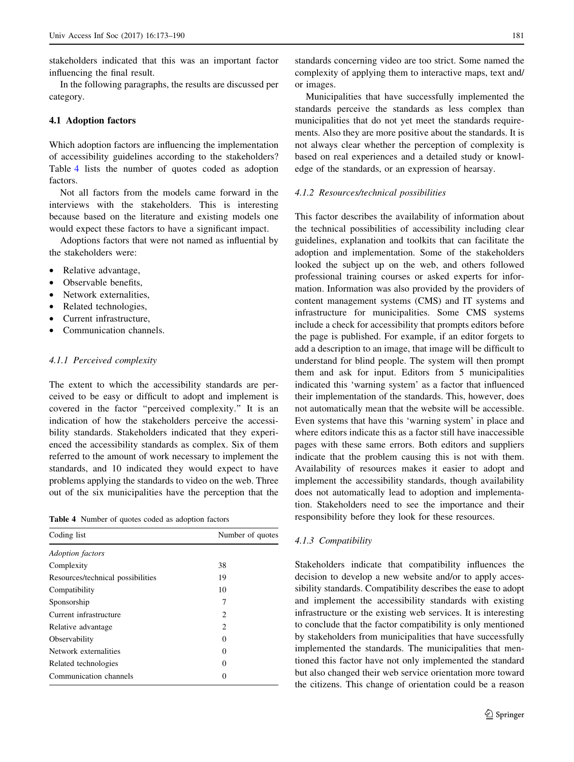stakeholders indicated that this was an important factor influencing the final result.

In the following paragraphs, the results are discussed per category.

# 4.1 Adoption factors

Which adoption factors are influencing the implementation of accessibility guidelines according to the stakeholders? Table 4 lists the number of quotes coded as adoption factors.

Not all factors from the models came forward in the interviews with the stakeholders. This is interesting because based on the literature and existing models one would expect these factors to have a significant impact.

Adoptions factors that were not named as influential by the stakeholders were:

- Relative advantage,
- Observable benefits.
- Network externalities,
- Related technologies,
- Current infrastructure,
- Communication channels.

# 4.1.1 Perceived complexity

The extent to which the accessibility standards are perceived to be easy or difficult to adopt and implement is covered in the factor ''perceived complexity.'' It is an indication of how the stakeholders perceive the accessibility standards. Stakeholders indicated that they experienced the accessibility standards as complex. Six of them referred to the amount of work necessary to implement the standards, and 10 indicated they would expect to have problems applying the standards to video on the web. Three out of the six municipalities have the perception that the

Table 4 Number of quotes coded as adoption factors

| Coding list                       | Number of quotes |  |
|-----------------------------------|------------------|--|
| Adoption factors                  |                  |  |
| Complexity                        | 38               |  |
| Resources/technical possibilities | 19               |  |
| Compatibility                     | 10               |  |
| Sponsorship                       | 7                |  |
| Current infrastructure            | 2                |  |
| Relative advantage                | 2                |  |
| Observability                     | 0                |  |
| Network externalities             | 0                |  |
| Related technologies              | 0                |  |
| Communication channels            | 0                |  |

standards concerning video are too strict. Some named the complexity of applying them to interactive maps, text and/ or images.

Municipalities that have successfully implemented the standards perceive the standards as less complex than municipalities that do not yet meet the standards requirements. Also they are more positive about the standards. It is not always clear whether the perception of complexity is based on real experiences and a detailed study or knowledge of the standards, or an expression of hearsay.

### 4.1.2 Resources/technical possibilities

This factor describes the availability of information about the technical possibilities of accessibility including clear guidelines, explanation and toolkits that can facilitate the adoption and implementation. Some of the stakeholders looked the subject up on the web, and others followed professional training courses or asked experts for information. Information was also provided by the providers of content management systems (CMS) and IT systems and infrastructure for municipalities. Some CMS systems include a check for accessibility that prompts editors before the page is published. For example, if an editor forgets to add a description to an image, that image will be difficult to understand for blind people. The system will then prompt them and ask for input. Editors from 5 municipalities indicated this 'warning system' as a factor that influenced their implementation of the standards. This, however, does not automatically mean that the website will be accessible. Even systems that have this 'warning system' in place and where editors indicate this as a factor still have inaccessible pages with these same errors. Both editors and suppliers indicate that the problem causing this is not with them. Availability of resources makes it easier to adopt and implement the accessibility standards, though availability does not automatically lead to adoption and implementation. Stakeholders need to see the importance and their responsibility before they look for these resources.

# 4.1.3 Compatibility

Stakeholders indicate that compatibility influences the decision to develop a new website and/or to apply accessibility standards. Compatibility describes the ease to adopt and implement the accessibility standards with existing infrastructure or the existing web services. It is interesting to conclude that the factor compatibility is only mentioned by stakeholders from municipalities that have successfully implemented the standards. The municipalities that mentioned this factor have not only implemented the standard but also changed their web service orientation more toward the citizens. This change of orientation could be a reason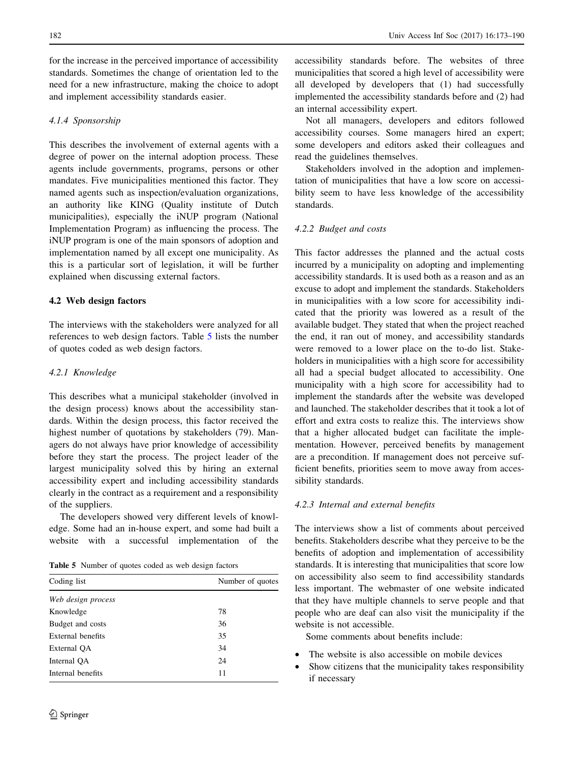for the increase in the perceived importance of accessibility standards. Sometimes the change of orientation led to the need for a new infrastructure, making the choice to adopt and implement accessibility standards easier.

# 4.1.4 Sponsorship

This describes the involvement of external agents with a degree of power on the internal adoption process. These agents include governments, programs, persons or other mandates. Five municipalities mentioned this factor. They named agents such as inspection/evaluation organizations, an authority like KING (Quality institute of Dutch municipalities), especially the iNUP program (National Implementation Program) as influencing the process. The iNUP program is one of the main sponsors of adoption and implementation named by all except one municipality. As this is a particular sort of legislation, it will be further explained when discussing external factors.

### 4.2 Web design factors

The interviews with the stakeholders were analyzed for all references to web design factors. Table 5 lists the number of quotes coded as web design factors.

### 4.2.1 Knowledge

This describes what a municipal stakeholder (involved in the design process) knows about the accessibility standards. Within the design process, this factor received the highest number of quotations by stakeholders (79). Managers do not always have prior knowledge of accessibility before they start the process. The project leader of the largest municipality solved this by hiring an external accessibility expert and including accessibility standards clearly in the contract as a requirement and a responsibility of the suppliers.

The developers showed very different levels of knowledge. Some had an in-house expert, and some had built a website with a successful implementation of the

Table 5 Number of quotes coded as web design factors

| Coding list        | Number of quotes |  |
|--------------------|------------------|--|
| Web design process |                  |  |
| Knowledge          | 78               |  |
| Budget and costs   | 36               |  |
| External benefits  | 35               |  |
| External OA        | 34               |  |
| Internal OA        | 24               |  |
| Internal benefits  | 11               |  |

accessibility standards before. The websites of three municipalities that scored a high level of accessibility were all developed by developers that (1) had successfully implemented the accessibility standards before and (2) had an internal accessibility expert.

Not all managers, developers and editors followed accessibility courses. Some managers hired an expert; some developers and editors asked their colleagues and read the guidelines themselves.

Stakeholders involved in the adoption and implementation of municipalities that have a low score on accessibility seem to have less knowledge of the accessibility standards.

# 4.2.2 Budget and costs

This factor addresses the planned and the actual costs incurred by a municipality on adopting and implementing accessibility standards. It is used both as a reason and as an excuse to adopt and implement the standards. Stakeholders in municipalities with a low score for accessibility indicated that the priority was lowered as a result of the available budget. They stated that when the project reached the end, it ran out of money, and accessibility standards were removed to a lower place on the to-do list. Stakeholders in municipalities with a high score for accessibility all had a special budget allocated to accessibility. One municipality with a high score for accessibility had to implement the standards after the website was developed and launched. The stakeholder describes that it took a lot of effort and extra costs to realize this. The interviews show that a higher allocated budget can facilitate the implementation. However, perceived benefits by management are a precondition. If management does not perceive sufficient benefits, priorities seem to move away from accessibility standards.

# 4.2.3 Internal and external benefits

The interviews show a list of comments about perceived benefits. Stakeholders describe what they perceive to be the benefits of adoption and implementation of accessibility standards. It is interesting that municipalities that score low on accessibility also seem to find accessibility standards less important. The webmaster of one website indicated that they have multiple channels to serve people and that people who are deaf can also visit the municipality if the website is not accessible.

Some comments about benefits include:

- The website is also accessible on mobile devices
- Show citizens that the municipality takes responsibility if necessary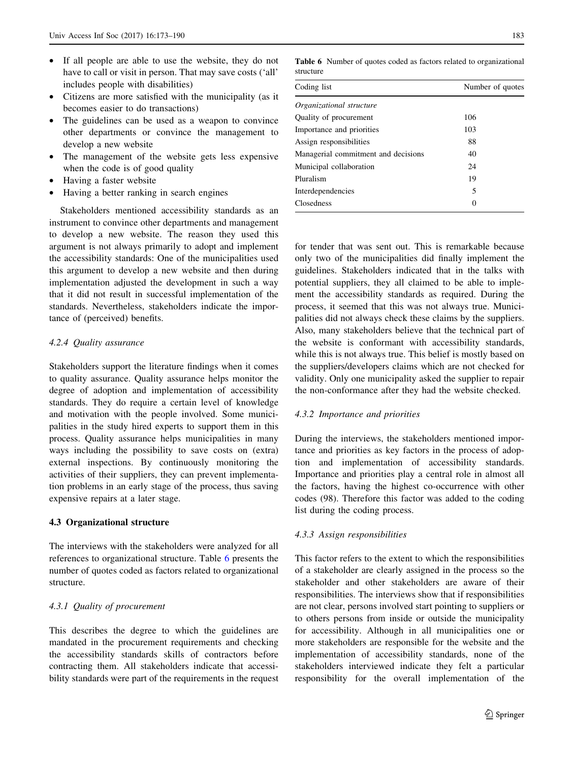- If all people are able to use the website, they do not have to call or visit in person. That may save costs ('all' includes people with disabilities)
- Citizens are more satisfied with the municipality (as it becomes easier to do transactions)
- The guidelines can be used as a weapon to convince other departments or convince the management to develop a new website
- The management of the website gets less expensive when the code is of good quality
- Having a faster website
- Having a better ranking in search engines

Stakeholders mentioned accessibility standards as an instrument to convince other departments and management to develop a new website. The reason they used this argument is not always primarily to adopt and implement the accessibility standards: One of the municipalities used this argument to develop a new website and then during implementation adjusted the development in such a way that it did not result in successful implementation of the standards. Nevertheless, stakeholders indicate the importance of (perceived) benefits.

# 4.2.4 Quality assurance

Stakeholders support the literature findings when it comes to quality assurance. Quality assurance helps monitor the degree of adoption and implementation of accessibility standards. They do require a certain level of knowledge and motivation with the people involved. Some municipalities in the study hired experts to support them in this process. Quality assurance helps municipalities in many ways including the possibility to save costs on (extra) external inspections. By continuously monitoring the activities of their suppliers, they can prevent implementation problems in an early stage of the process, thus saving expensive repairs at a later stage.

#### 4.3 Organizational structure

The interviews with the stakeholders were analyzed for all references to organizational structure. Table 6 presents the number of quotes coded as factors related to organizational structure.

#### 4.3.1 Quality of procurement

This describes the degree to which the guidelines are mandated in the procurement requirements and checking the accessibility standards skills of contractors before contracting them. All stakeholders indicate that accessibility standards were part of the requirements in the request Table 6 Number of quotes coded as factors related to organizational structure

| Coding list                         | Number of quotes |  |
|-------------------------------------|------------------|--|
| Organizational structure            |                  |  |
| Quality of procurement              | 106              |  |
| Importance and priorities           | 103              |  |
| Assign responsibilities             | 88               |  |
| Managerial commitment and decisions | 40               |  |
| Municipal collaboration             | 24               |  |
| Pluralism                           | 19               |  |
| Interdependencies                   | 5                |  |
| Closedness                          | $\Omega$         |  |
|                                     |                  |  |

for tender that was sent out. This is remarkable because only two of the municipalities did finally implement the guidelines. Stakeholders indicated that in the talks with potential suppliers, they all claimed to be able to implement the accessibility standards as required. During the process, it seemed that this was not always true. Municipalities did not always check these claims by the suppliers. Also, many stakeholders believe that the technical part of the website is conformant with accessibility standards, while this is not always true. This belief is mostly based on the suppliers/developers claims which are not checked for validity. Only one municipality asked the supplier to repair the non-conformance after they had the website checked.

# 4.3.2 Importance and priorities

During the interviews, the stakeholders mentioned importance and priorities as key factors in the process of adoption and implementation of accessibility standards. Importance and priorities play a central role in almost all the factors, having the highest co-occurrence with other codes (98). Therefore this factor was added to the coding list during the coding process.

### 4.3.3 Assign responsibilities

This factor refers to the extent to which the responsibilities of a stakeholder are clearly assigned in the process so the stakeholder and other stakeholders are aware of their responsibilities. The interviews show that if responsibilities are not clear, persons involved start pointing to suppliers or to others persons from inside or outside the municipality for accessibility. Although in all municipalities one or more stakeholders are responsible for the website and the implementation of accessibility standards, none of the stakeholders interviewed indicate they felt a particular responsibility for the overall implementation of the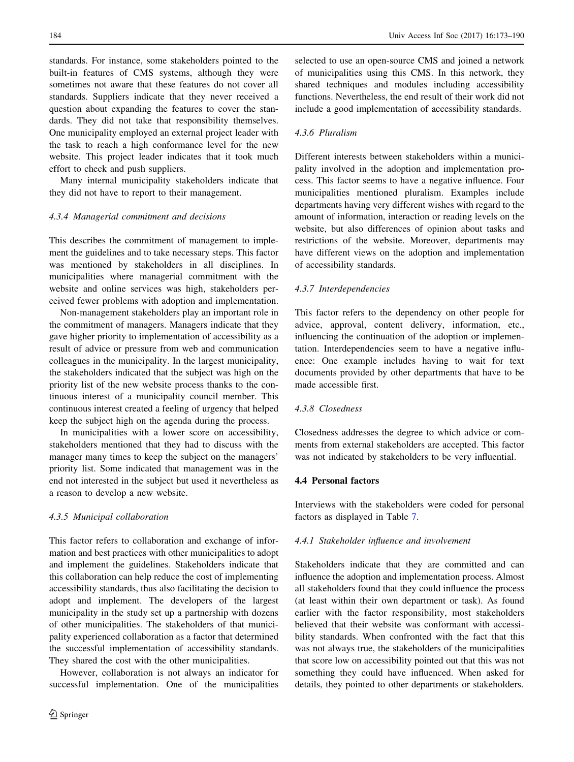standards. For instance, some stakeholders pointed to the built-in features of CMS systems, although they were sometimes not aware that these features do not cover all standards. Suppliers indicate that they never received a question about expanding the features to cover the standards. They did not take that responsibility themselves. One municipality employed an external project leader with the task to reach a high conformance level for the new website. This project leader indicates that it took much effort to check and push suppliers.

Many internal municipality stakeholders indicate that they did not have to report to their management.

# 4.3.4 Managerial commitment and decisions

This describes the commitment of management to implement the guidelines and to take necessary steps. This factor was mentioned by stakeholders in all disciplines. In municipalities where managerial commitment with the website and online services was high, stakeholders perceived fewer problems with adoption and implementation.

Non-management stakeholders play an important role in the commitment of managers. Managers indicate that they gave higher priority to implementation of accessibility as a result of advice or pressure from web and communication colleagues in the municipality. In the largest municipality, the stakeholders indicated that the subject was high on the priority list of the new website process thanks to the continuous interest of a municipality council member. This continuous interest created a feeling of urgency that helped keep the subject high on the agenda during the process.

In municipalities with a lower score on accessibility, stakeholders mentioned that they had to discuss with the manager many times to keep the subject on the managers' priority list. Some indicated that management was in the end not interested in the subject but used it nevertheless as a reason to develop a new website.

#### 4.3.5 Municipal collaboration

This factor refers to collaboration and exchange of information and best practices with other municipalities to adopt and implement the guidelines. Stakeholders indicate that this collaboration can help reduce the cost of implementing accessibility standards, thus also facilitating the decision to adopt and implement. The developers of the largest municipality in the study set up a partnership with dozens of other municipalities. The stakeholders of that municipality experienced collaboration as a factor that determined the successful implementation of accessibility standards. They shared the cost with the other municipalities.

However, collaboration is not always an indicator for successful implementation. One of the municipalities selected to use an open-source CMS and joined a network of municipalities using this CMS. In this network, they shared techniques and modules including accessibility functions. Nevertheless, the end result of their work did not include a good implementation of accessibility standards.

# 4.3.6 Pluralism

Different interests between stakeholders within a municipality involved in the adoption and implementation process. This factor seems to have a negative influence. Four municipalities mentioned pluralism. Examples include departments having very different wishes with regard to the amount of information, interaction or reading levels on the website, but also differences of opinion about tasks and restrictions of the website. Moreover, departments may have different views on the adoption and implementation of accessibility standards.

#### 4.3.7 Interdependencies

This factor refers to the dependency on other people for advice, approval, content delivery, information, etc., influencing the continuation of the adoption or implementation. Interdependencies seem to have a negative influence: One example includes having to wait for text documents provided by other departments that have to be made accessible first.

# 4.3.8 Closedness

Closedness addresses the degree to which advice or comments from external stakeholders are accepted. This factor was not indicated by stakeholders to be very influential.

# 4.4 Personal factors

Interviews with the stakeholders were coded for personal factors as displayed in Table [7](#page-12-0).

# 4.4.1 Stakeholder influence and involvement

Stakeholders indicate that they are committed and can influence the adoption and implementation process. Almost all stakeholders found that they could influence the process (at least within their own department or task). As found earlier with the factor responsibility, most stakeholders believed that their website was conformant with accessibility standards. When confronted with the fact that this was not always true, the stakeholders of the municipalities that score low on accessibility pointed out that this was not something they could have influenced. When asked for details, they pointed to other departments or stakeholders.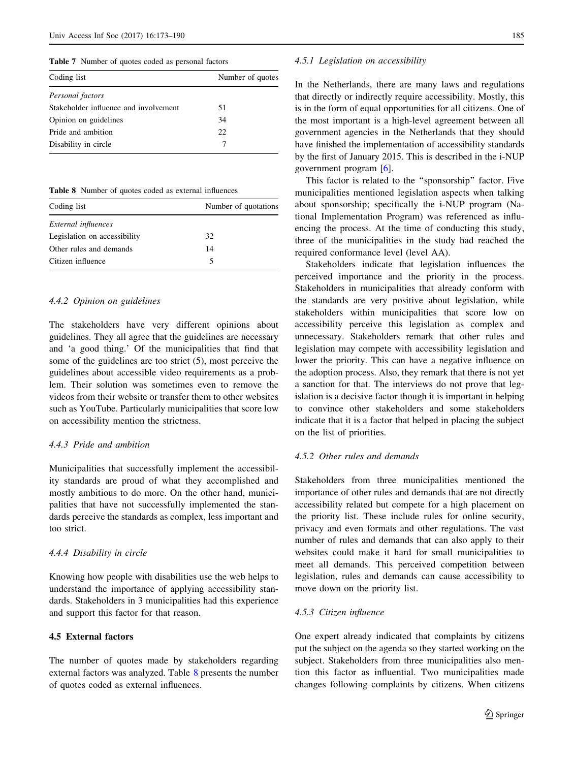<span id="page-12-0"></span>Table 7 Number of quotes coded as personal factors

| Coding list                           | Number of quotes |  |
|---------------------------------------|------------------|--|
| Personal factors                      |                  |  |
| Stakeholder influence and involvement | 51               |  |
| Opinion on guidelines                 | 34               |  |
| Pride and ambition                    | 22               |  |
| Disability in circle                  |                  |  |

Table 8 Number of quotes coded as external influences

| Coding list                  | Number of quotations |  |
|------------------------------|----------------------|--|
| External influences          |                      |  |
| Legislation on accessibility | 32                   |  |
| Other rules and demands      | 14                   |  |
| Citizen influence            | 5                    |  |

### 4.4.2 Opinion on guidelines

The stakeholders have very different opinions about guidelines. They all agree that the guidelines are necessary and 'a good thing.' Of the municipalities that find that some of the guidelines are too strict (5), most perceive the guidelines about accessible video requirements as a problem. Their solution was sometimes even to remove the videos from their website or transfer them to other websites such as YouTube. Particularly municipalities that score low on accessibility mention the strictness.

# 4.4.3 Pride and ambition

Municipalities that successfully implement the accessibility standards are proud of what they accomplished and mostly ambitious to do more. On the other hand, municipalities that have not successfully implemented the standards perceive the standards as complex, less important and too strict.

#### 4.4.4 Disability in circle

Knowing how people with disabilities use the web helps to understand the importance of applying accessibility standards. Stakeholders in 3 municipalities had this experience and support this factor for that reason.

# 4.5 External factors

The number of quotes made by stakeholders regarding external factors was analyzed. Table 8 presents the number of quotes coded as external influences.

#### 4.5.1 Legislation on accessibility

In the Netherlands, there are many laws and regulations that directly or indirectly require accessibility. Mostly, this is in the form of equal opportunities for all citizens. One of the most important is a high-level agreement between all government agencies in the Netherlands that they should have finished the implementation of accessibility standards by the first of January 2015. This is described in the i-NUP government program [[6\]](#page-16-0).

This factor is related to the ''sponsorship'' factor. Five municipalities mentioned legislation aspects when talking about sponsorship; specifically the i-NUP program (National Implementation Program) was referenced as influencing the process. At the time of conducting this study, three of the municipalities in the study had reached the required conformance level (level AA).

Stakeholders indicate that legislation influences the perceived importance and the priority in the process. Stakeholders in municipalities that already conform with the standards are very positive about legislation, while stakeholders within municipalities that score low on accessibility perceive this legislation as complex and unnecessary. Stakeholders remark that other rules and legislation may compete with accessibility legislation and lower the priority. This can have a negative influence on the adoption process. Also, they remark that there is not yet a sanction for that. The interviews do not prove that legislation is a decisive factor though it is important in helping to convince other stakeholders and some stakeholders indicate that it is a factor that helped in placing the subject on the list of priorities.

# 4.5.2 Other rules and demands

Stakeholders from three municipalities mentioned the importance of other rules and demands that are not directly accessibility related but compete for a high placement on the priority list. These include rules for online security, privacy and even formats and other regulations. The vast number of rules and demands that can also apply to their websites could make it hard for small municipalities to meet all demands. This perceived competition between legislation, rules and demands can cause accessibility to move down on the priority list.

#### 4.5.3 Citizen influence

One expert already indicated that complaints by citizens put the subject on the agenda so they started working on the subject. Stakeholders from three municipalities also mention this factor as influential. Two municipalities made changes following complaints by citizens. When citizens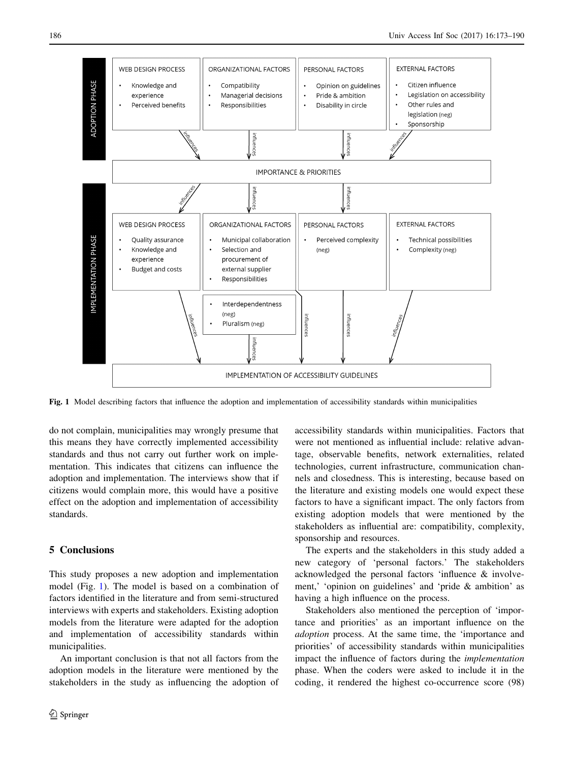<span id="page-13-0"></span>

Fig. 1 Model describing factors that influence the adoption and implementation of accessibility standards within municipalities

do not complain, municipalities may wrongly presume that this means they have correctly implemented accessibility standards and thus not carry out further work on implementation. This indicates that citizens can influence the adoption and implementation. The interviews show that if citizens would complain more, this would have a positive effect on the adoption and implementation of accessibility standards.

# 5 Conclusions

This study proposes a new adoption and implementation model (Fig. 1). The model is based on a combination of factors identified in the literature and from semi-structured interviews with experts and stakeholders. Existing adoption models from the literature were adapted for the adoption and implementation of accessibility standards within municipalities.

An important conclusion is that not all factors from the adoption models in the literature were mentioned by the stakeholders in the study as influencing the adoption of accessibility standards within municipalities. Factors that were not mentioned as influential include: relative advantage, observable benefits, network externalities, related technologies, current infrastructure, communication channels and closedness. This is interesting, because based on the literature and existing models one would expect these factors to have a significant impact. The only factors from existing adoption models that were mentioned by the stakeholders as influential are: compatibility, complexity, sponsorship and resources.

The experts and the stakeholders in this study added a new category of 'personal factors.' The stakeholders acknowledged the personal factors 'influence & involvement,' 'opinion on guidelines' and 'pride & ambition' as having a high influence on the process.

Stakeholders also mentioned the perception of 'importance and priorities' as an important influence on the adoption process. At the same time, the 'importance and priorities' of accessibility standards within municipalities impact the influence of factors during the implementation phase. When the coders were asked to include it in the coding, it rendered the highest co-occurrence score (98)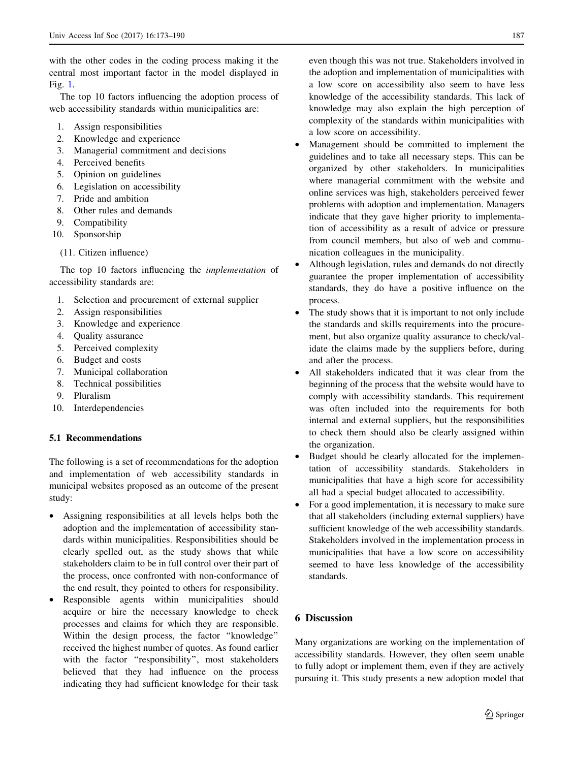with the other codes in the coding process making it the central most important factor in the model displayed in Fig. [1](#page-13-0).

The top 10 factors influencing the adoption process of web accessibility standards within municipalities are:

- 1. Assign responsibilities
- 2. Knowledge and experience
- 3. Managerial commitment and decisions
- 4. Perceived benefits
- 5. Opinion on guidelines
- 6. Legislation on accessibility
- 7. Pride and ambition
- 8. Other rules and demands
- 9. Compatibility
- 10. Sponsorship
- (11. Citizen influence)

The top 10 factors influencing the implementation of accessibility standards are:

- 1. Selection and procurement of external supplier
- 2. Assign responsibilities
- 3. Knowledge and experience
- 4. Quality assurance
- 5. Perceived complexity
- 6. Budget and costs
- 7. Municipal collaboration
- 8. Technical possibilities
- 9. Pluralism
- 10. Interdependencies

# 5.1 Recommendations

The following is a set of recommendations for the adoption and implementation of web accessibility standards in municipal websites proposed as an outcome of the present study:

- Assigning responsibilities at all levels helps both the adoption and the implementation of accessibility standards within municipalities. Responsibilities should be clearly spelled out, as the study shows that while stakeholders claim to be in full control over their part of the process, once confronted with non-conformance of the end result, they pointed to others for responsibility.
- Responsible agents within municipalities should acquire or hire the necessary knowledge to check processes and claims for which they are responsible. Within the design process, the factor ''knowledge'' received the highest number of quotes. As found earlier with the factor ''responsibility'', most stakeholders believed that they had influence on the process indicating they had sufficient knowledge for their task

even though this was not true. Stakeholders involved in the adoption and implementation of municipalities with a low score on accessibility also seem to have less knowledge of the accessibility standards. This lack of knowledge may also explain the high perception of complexity of the standards within municipalities with a low score on accessibility.

- Management should be committed to implement the guidelines and to take all necessary steps. This can be organized by other stakeholders. In municipalities where managerial commitment with the website and online services was high, stakeholders perceived fewer problems with adoption and implementation. Managers indicate that they gave higher priority to implementation of accessibility as a result of advice or pressure from council members, but also of web and communication colleagues in the municipality.
- Although legislation, rules and demands do not directly guarantee the proper implementation of accessibility standards, they do have a positive influence on the process.
- The study shows that it is important to not only include the standards and skills requirements into the procurement, but also organize quality assurance to check/validate the claims made by the suppliers before, during and after the process.
- All stakeholders indicated that it was clear from the beginning of the process that the website would have to comply with accessibility standards. This requirement was often included into the requirements for both internal and external suppliers, but the responsibilities to check them should also be clearly assigned within the organization.
- Budget should be clearly allocated for the implementation of accessibility standards. Stakeholders in municipalities that have a high score for accessibility all had a special budget allocated to accessibility.
- For a good implementation, it is necessary to make sure that all stakeholders (including external suppliers) have sufficient knowledge of the web accessibility standards. Stakeholders involved in the implementation process in municipalities that have a low score on accessibility seemed to have less knowledge of the accessibility standards.

# 6 Discussion

Many organizations are working on the implementation of accessibility standards. However, they often seem unable to fully adopt or implement them, even if they are actively pursuing it. This study presents a new adoption model that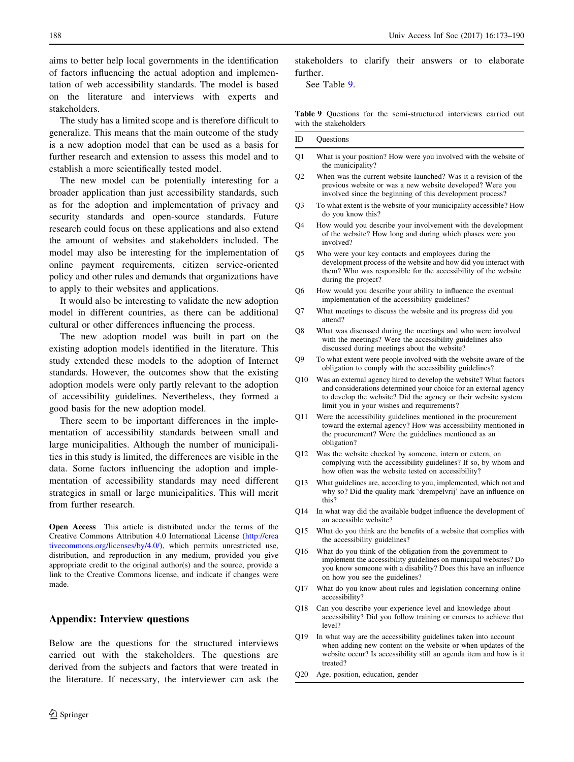<span id="page-15-0"></span>aims to better help local governments in the identification of factors influencing the actual adoption and implementation of web accessibility standards. The model is based on the literature and interviews with experts and stakeholders.

The study has a limited scope and is therefore difficult to generalize. This means that the main outcome of the study is a new adoption model that can be used as a basis for further research and extension to assess this model and to establish a more scientifically tested model.

The new model can be potentially interesting for a broader application than just accessibility standards, such as for the adoption and implementation of privacy and security standards and open-source standards. Future research could focus on these applications and also extend the amount of websites and stakeholders included. The model may also be interesting for the implementation of online payment requirements, citizen service-oriented policy and other rules and demands that organizations have to apply to their websites and applications.

It would also be interesting to validate the new adoption model in different countries, as there can be additional cultural or other differences influencing the process.

The new adoption model was built in part on the existing adoption models identified in the literature. This study extended these models to the adoption of Internet standards. However, the outcomes show that the existing adoption models were only partly relevant to the adoption of accessibility guidelines. Nevertheless, they formed a good basis for the new adoption model.

There seem to be important differences in the implementation of accessibility standards between small and large municipalities. Although the number of municipalities in this study is limited, the differences are visible in the data. Some factors influencing the adoption and implementation of accessibility standards may need different strategies in small or large municipalities. This will merit from further research.

Open Access This article is distributed under the terms of the Creative Commons Attribution 4.0 International License ([http://crea](http://creativecommons.org/licenses/by/4.0/) [tivecommons.org/licenses/by/4.0/\)](http://creativecommons.org/licenses/by/4.0/), which permits unrestricted use, distribution, and reproduction in any medium, provided you give appropriate credit to the original author(s) and the source, provide a link to the Creative Commons license, and indicate if changes were made.

# Appendix: Interview questions

Below are the questions for the structured interviews carried out with the stakeholders. The questions are derived from the subjects and factors that were treated in the literature. If necessary, the interviewer can ask the

stakeholders to clarify their answers or to elaborate further.

See Table 9.

Table 9 Questions for the semi-structured interviews carried out with the stakeholders

| ID  | Questions                                                                                                                                                                                                                                             |
|-----|-------------------------------------------------------------------------------------------------------------------------------------------------------------------------------------------------------------------------------------------------------|
| Q1  | What is your position? How were you involved with the website of<br>the municipality?                                                                                                                                                                 |
| Q2  | When was the current website launched? Was it a revision of the<br>previous website or was a new website developed? Were you<br>involved since the beginning of this development process?                                                             |
| Q3  | To what extent is the website of your municipality accessible? How<br>do you know this?                                                                                                                                                               |
| Q4  | How would you describe your involvement with the development<br>of the website? How long and during which phases were you<br>involved?                                                                                                                |
| Q5  | Who were your key contacts and employees during the<br>development process of the website and how did you interact with<br>them? Who was responsible for the accessibility of the website<br>during the project?                                      |
| Q6  | How would you describe your ability to influence the eventual<br>implementation of the accessibility guidelines?                                                                                                                                      |
| Q7  | What meetings to discuss the website and its progress did you<br>attend?                                                                                                                                                                              |
| Q8  | What was discussed during the meetings and who were involved<br>with the meetings? Were the accessibility guidelines also<br>discussed during meetings about the website?                                                                             |
| Q9  | To what extent were people involved with the website aware of the<br>obligation to comply with the accessibility guidelines?                                                                                                                          |
| Q10 | Was an external agency hired to develop the website? What factors<br>and considerations determined your choice for an external agency<br>to develop the website? Did the agency or their website system<br>limit you in your wishes and requirements? |
| Q11 | Were the accessibility guidelines mentioned in the procurement<br>toward the external agency? How was accessibility mentioned in<br>the procurement? Were the guidelines mentioned as an<br>obligation?                                               |
| Q12 | Was the website checked by someone, intern or extern, on<br>complying with the accessibility guidelines? If so, by whom and<br>how often was the website tested on accessibility?                                                                     |
| Q13 | What guidelines are, according to you, implemented, which not and<br>why so? Did the quality mark 'drempelvrij' have an influence on<br>this?                                                                                                         |
| Q14 | In what way did the available budget influence the development of<br>an accessible website?                                                                                                                                                           |
| Q15 | What do you think are the benefits of a website that complies with<br>the accessibility guidelines?                                                                                                                                                   |
| Q16 | What do you think of the obligation from the government to<br>implement the accessibility guidelines on municipal websites? Do<br>you know someone with a disability? Does this have an influence<br>on how you see the guidelines?                   |
| Q17 | What do you know about rules and legislation concerning online<br>accessibility?                                                                                                                                                                      |
| Q18 | Can you describe your experience level and knowledge about<br>accessibility? Did you follow training or courses to achieve that<br>level?                                                                                                             |
| Q19 | In what way are the accessibility guidelines taken into account<br>when adding new content on the website or when updates of the<br>website occur? Is accessibility still an agenda item and how is it<br>treated?                                    |

Q20 Age, position, education, gender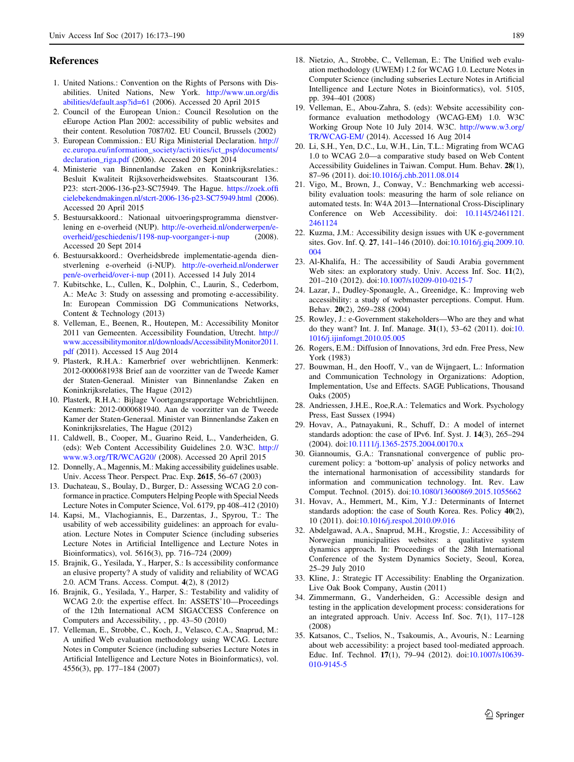### <span id="page-16-0"></span>References

- 1. United Nations.: Convention on the Rights of Persons with Disabilities. United Nations, New York. [http://www.un.org/dis](http://www.un.org/disabilities/default.asp?id=61) [abilities/default.asp?id=61](http://www.un.org/disabilities/default.asp?id=61) (2006). Accessed 20 April 2015
- 2. Council of the European Union.: Council Resolution on the eEurope Action Plan 2002: accessibility of public websites and their content. Resolution 7087/02. EU Council, Brussels (2002)
- 3. European Commission.: EU Riga Ministerial Declaration. [http://](http://ec.europa.eu/information_society/activities/ict_psp/documents/declaration_riga.pdf) [ec.europa.eu/information\\_society/activities/ict\\_psp/documents/](http://ec.europa.eu/information_society/activities/ict_psp/documents/declaration_riga.pdf) declaration riga.pdf (2006). Accessed 20 Sept 2014
- 4. Ministerie van Binnenlandse Zaken en Koninkrijksrelaties.: Besluit Kwaliteit Rijksoverheidswebsites. Staatscourant 136. P23: stcrt-2006-136-p23-SC75949. The Hague. [https://zoek.offi](https://zoek.officielebekendmakingen.nl/stcrt-2006-136-p23-SC75949.html) [cielebekendmakingen.nl/stcrt-2006-136-p23-SC75949.html](https://zoek.officielebekendmakingen.nl/stcrt-2006-136-p23-SC75949.html) (2006). Accessed 20 April 2015
- 5. Bestuursakkoord.: Nationaal uitvoeringsprogramma dienstverlening en e-overheid (NUP). [http://e-overheid.nl/onderwerpen/e](http://e-overheid.nl/onderwerpen/e-overheid/geschiedenis/1198-nup-voorganger-i-nup)[overheid/geschiedenis/1198-nup-voorganger-i-nup](http://e-overheid.nl/onderwerpen/e-overheid/geschiedenis/1198-nup-voorganger-i-nup) (2008). Accessed 20 Sept 2014
- 6. Bestuursakkoord.: Overheidsbrede implementatie-agenda dienstverlening e-overheid (i-NUP). [http://e-overheid.nl/onderwer](http://e-overheid.nl/onderwerpen/e-overheid/over-i-nup) [pen/e-overheid/over-i-nup](http://e-overheid.nl/onderwerpen/e-overheid/over-i-nup) (2011). Accessed 14 July 2014
- 7. Kubitschke, L., Cullen, K., Dolphin, C., Laurin, S., Cederbom, A.: MeAc 3: Study on assessing and promoting e-accessibility. In: European Commission DG Communications Networks, Content & Technology (2013)
- 8. Velleman, E., Beenen, R., Houtepen, M.: Accessibility Monitor 2011 van Gemeenten. Accessibility Foundation, Utrecht. [http://](http://www.accessibilitymonitor.nl/downloads/AccessibilityMonitor2011.pdf) [www.accessibilitymonitor.nl/downloads/AccessibilityMonitor2011.](http://www.accessibilitymonitor.nl/downloads/AccessibilityMonitor2011.pdf) [pdf](http://www.accessibilitymonitor.nl/downloads/AccessibilityMonitor2011.pdf) (2011). Accessed 15 Aug 2014
- 9. Plasterk, R.H.A.: Kamerbrief over webrichtlijnen. Kenmerk: 2012-0000681938 Brief aan de voorzitter van de Tweede Kamer der Staten-Generaal. Minister van Binnenlandse Zaken en Koninkrijksrelaties, The Hague (2012)
- 10. Plasterk, R.H.A.: Bijlage Voortgangsrapportage Webrichtlijnen. Kenmerk: 2012-0000681940. Aan de voorzitter van de Tweede Kamer der Staten-Generaal. Minister van Binnenlandse Zaken en Koninkrijksrelaties, The Hague (2012)
- 11. Caldwell, B., Cooper, M., Guarino Reid, L., Vanderheiden, G. (eds): Web Content Accessibility Guidelines 2.0. W3C. [http://](http://www.w3.org/TR/WCAG20/) [www.w3.org/TR/WCAG20/](http://www.w3.org/TR/WCAG20/) (2008). Accessed 20 April 2015
- 12. Donnelly, A., Magennis, M.: Making accessibility guidelines usable. Univ. Access Theor. Perspect. Prac. Exp. 2615, 56–67 (2003)
- 13. Duchateau, S., Boulay, D., Burger, D.: Assessing WCAG 2.0 conformance in practice. Computers Helping People with Special Needs Lecture Notes in Computer Science, Vol. 6179, pp 408–412 (2010)
- 14. Kapsi, M., Vlachogiannis, E., Darzentas, J., Spyrou, T.: The usability of web accessibility guidelines: an approach for evaluation. Lecture Notes in Computer Science (including subseries Lecture Notes in Artificial Intelligence and Lecture Notes in Bioinformatics), vol. 5616(3), pp. 716–724 (2009)
- 15. Brajnik, G., Yesilada, Y., Harper, S.: Is accessibility conformance an elusive property? A study of validity and reliability of WCAG 2.0. ACM Trans. Access. Comput. 4(2), 8 (2012)
- 16. Brajnik, G., Yesilada, Y., Harper, S.: Testability and validity of WCAG 2.0: the expertise effect. In: ASSETS'10—Proceedings of the 12th International ACM SIGACCESS Conference on Computers and Accessibility, , pp. 43–50 (2010)
- 17. Velleman, E., Strobbe, C., Koch, J., Velasco, C.A., Snaprud, M.: A unified Web evaluation methodology using WCAG. Lecture Notes in Computer Science (including subseries Lecture Notes in Artificial Intelligence and Lecture Notes in Bioinformatics), vol. 4556(3), pp. 177–184 (2007)
- 18. Nietzio, A., Strobbe, C., Velleman, E.: The Unified web evaluation methodology (UWEM) 1.2 for WCAG 1.0. Lecture Notes in Computer Science (including subseries Lecture Notes in Artificial Intelligence and Lecture Notes in Bioinformatics), vol. 5105, pp. 394–401 (2008)
- 19. Velleman, E., Abou-Zahra, S. (eds): Website accessibility conformance evaluation methodology (WCAG-EM) 1.0. W3C Working Group Note 10 July 2014. W3C. [http://www.w3.org/](http://www.w3.org/TR/WCAG-EM/) [TR/WCAG-EM/](http://www.w3.org/TR/WCAG-EM/) (2014). Accessed 16 Aug 2014
- 20. Li, S.H., Yen, D.C., Lu, W.H., Lin, T.L.: Migrating from WCAG 1.0 to WCAG 2.0—a comparative study based on Web Content Accessibility Guidelines in Taiwan. Comput. Hum. Behav. 28(1), 87–96 (2011). doi[:10.1016/j.chb.2011.08.014](http://dx.doi.org/10.1016/j.chb.2011.08.014)
- 21. Vigo, M., Brown, J., Conway, V.: Benchmarking web accessibility evaluation tools: measuring the harm of sole reliance on automated tests. In: W4A 2013—International Cross-Disciplinary Conference on Web Accessibility. doi: [10.1145/2461121.](http://dx.doi.org/10.1145/2461121.2461124) [2461124](http://dx.doi.org/10.1145/2461121.2461124)
- 22. Kuzma, J.M.: Accessibility design issues with UK e-government sites. Gov. Inf. Q. 27, 141–146 (2010). doi[:10.1016/j.giq.2009.10.](http://dx.doi.org/10.1016/j.giq.2009.10.004) [004](http://dx.doi.org/10.1016/j.giq.2009.10.004)
- 23. Al-Khalifa, H.: The accessibility of Saudi Arabia government Web sites: an exploratory study. Univ. Access Inf. Soc. 11(2), 201–210 (2012). doi:[10.1007/s10209-010-0215-7](http://dx.doi.org/10.1007/s10209-010-0215-7)
- 24. Lazar, J., Dudley-Sponaugle, A., Greenidge, K.: Improving web accessibility: a study of webmaster perceptions. Comput. Hum. Behav. 20(2), 269–288 (2004)
- 25. Rowley, J.: e-Government stakeholders—Who are they and what do they want? Int. J. Inf. Manage. 31(1), 53–62 (2011). doi:[10.](http://dx.doi.org/10.1016/j.ijinfomgt.2010.05.005) [1016/j.ijinfomgt.2010.05.005](http://dx.doi.org/10.1016/j.ijinfomgt.2010.05.005)
- 26. Rogers, E.M.: Diffusion of Innovations, 3rd edn. Free Press, New York (1983)
- 27. Bouwman, H., den Hooff, V., van de Wijngaert, L.: Information and Communication Technology in Organizations: Adoption, Implementation, Use and Effects. SAGE Publications, Thousand Oaks (2005)
- 28. Andriessen, J.H.E., Roe,R.A.: Telematics and Work. Psychology Press, East Sussex (1994)
- 29. Hovav, A., Patnayakuni, R., Schuff, D.: A model of internet standards adoption: the case of IPv6. Inf. Syst. J. 14(3), 265–294 (2004). doi[:10.1111/j.1365-2575.2004.00170.x](http://dx.doi.org/10.1111/j.1365-2575.2004.00170.x)
- 30. Giannoumis, G.A.: Transnational convergence of public procurement policy: a 'bottom-up' analysis of policy networks and the international harmonisation of accessibility standards for information and communication technology. Int. Rev. Law Comput. Technol. (2015). doi:[10.1080/13600869.2015.1055662](http://dx.doi.org/10.1080/13600869.2015.1055662)
- 31. Hovav, A., Hemmert, M., Kim, Y.J.: Determinants of Internet standards adoption: the case of South Korea. Res. Policy 40(2), 10 (2011). doi:[10.1016/j.respol.2010.09.016](http://dx.doi.org/10.1016/j.respol.2010.09.016)
- 32. Abdelgawad, A.A., Snaprud, M.H., Krogstie, J.: Accessibility of Norwegian municipalities websites: a qualitative system dynamics approach. In: Proceedings of the 28th International Conference of the System Dynamics Society, Seoul, Korea, 25–29 July 2010
- 33. Kline, J.: Strategic IT Accessibility: Enabling the Organization. Live Oak Book Company, Austin (2011)
- 34. Zimmermann, G., Vanderheiden, G.: Accessible design and testing in the application development process: considerations for an integrated approach. Univ. Access Inf. Soc. 7(1), 117–128 (2008)
- 35. Katsanos, C., Tselios, N., Tsakoumis, A., Avouris, N.: Learning about web accessibility: a project based tool-mediated approach. Educ. Inf. Technol. 17(1), 79–94 (2012). doi[:10.1007/s10639-](http://dx.doi.org/10.1007/s10639-010-9145-5) [010-9145-5](http://dx.doi.org/10.1007/s10639-010-9145-5)